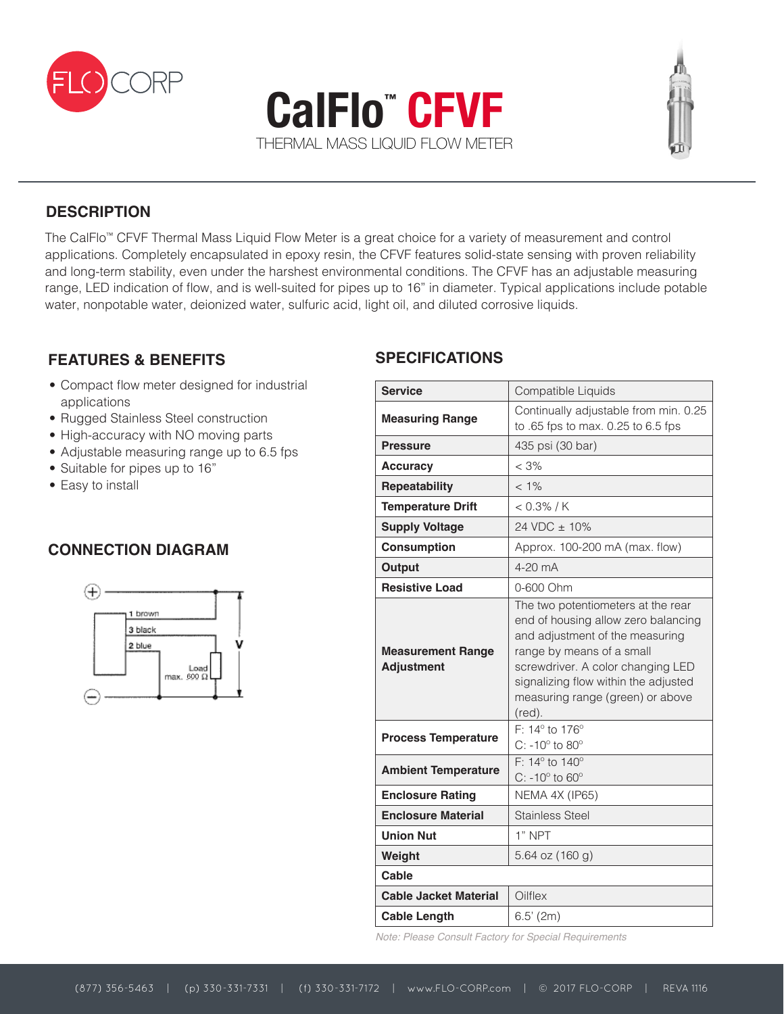





## **DESCRIPTION**

The CalFlo™ CFVF Thermal Mass Liquid Flow Meter is a great choice for a variety of measurement and control applications. Completely encapsulated in epoxy resin, the CFVF features solid-state sensing with proven reliability and long-term stability, even under the harshest environmental conditions. The CFVF has an adjustable measuring range, LED indication of flow, and is well-suited for pipes up to 16" in diameter. Typical applications include potable water, nonpotable water, deionized water, sulfuric acid, light oil, and diluted corrosive liquids.

#### **FEATURES & BENEFITS**

- Compact flow meter designed for industrial applications
- Rugged Stainless Steel construction
- High-accuracy with NO moving parts
- Adjustable measuring range up to 6.5 fps
- Suitable for pipes up to 16"
- Easy to install

### **CONNECTION DIAGRAM**



### **SPECIFICATIONS**

| <b>Service</b>                                | Compatible Liquids                                                                                                                                                                                                                                                   |
|-----------------------------------------------|----------------------------------------------------------------------------------------------------------------------------------------------------------------------------------------------------------------------------------------------------------------------|
| <b>Measuring Range</b>                        | Continually adjustable from min. 0.25<br>to .65 fps to max. 0.25 to 6.5 fps                                                                                                                                                                                          |
| <b>Pressure</b>                               | 435 psi (30 bar)                                                                                                                                                                                                                                                     |
| <b>Accuracy</b>                               | $<$ 3%                                                                                                                                                                                                                                                               |
| <b>Repeatability</b>                          | $< 1\%$                                                                                                                                                                                                                                                              |
| <b>Temperature Drift</b>                      | $< 0.3\%$ / K                                                                                                                                                                                                                                                        |
| <b>Supply Voltage</b>                         | 24 VDC ± 10%                                                                                                                                                                                                                                                         |
| <b>Consumption</b>                            | Approx. 100-200 mA (max. flow)                                                                                                                                                                                                                                       |
| Output                                        | $4-20$ mA                                                                                                                                                                                                                                                            |
| <b>Resistive Load</b>                         | 0-600 Ohm                                                                                                                                                                                                                                                            |
| <b>Measurement Range</b><br><b>Adjustment</b> | The two potentiometers at the rear<br>end of housing allow zero balancing<br>and adjustment of the measuring<br>range by means of a small<br>screwdriver. A color changing LED<br>signalizing flow within the adjusted<br>measuring range (green) or above<br>(red). |
| <b>Process Temperature</b>                    | F: 14° to 176°<br>$C: -10^{\circ}$ to $80^{\circ}$                                                                                                                                                                                                                   |
| <b>Ambient Temperature</b>                    | F: 14° to 140°<br>C: -10 $\textdegree$ to 60 $\textdegree$                                                                                                                                                                                                           |
| <b>Enclosure Rating</b>                       | NEMA 4X (IP65)                                                                                                                                                                                                                                                       |
| <b>Enclosure Material</b>                     | <b>Stainless Steel</b>                                                                                                                                                                                                                                               |
| <b>Union Nut</b>                              | 1" NPT                                                                                                                                                                                                                                                               |
| Weight                                        | 5.64 oz (160 g)                                                                                                                                                                                                                                                      |
| Cable                                         |                                                                                                                                                                                                                                                                      |
| <b>Cable Jacket Material</b>                  | Oilflex                                                                                                                                                                                                                                                              |
| <b>Cable Length</b>                           | $6.5'$ (2m)                                                                                                                                                                                                                                                          |
|                                               |                                                                                                                                                                                                                                                                      |

*Note: Please Consult Factory for Special Requirements*